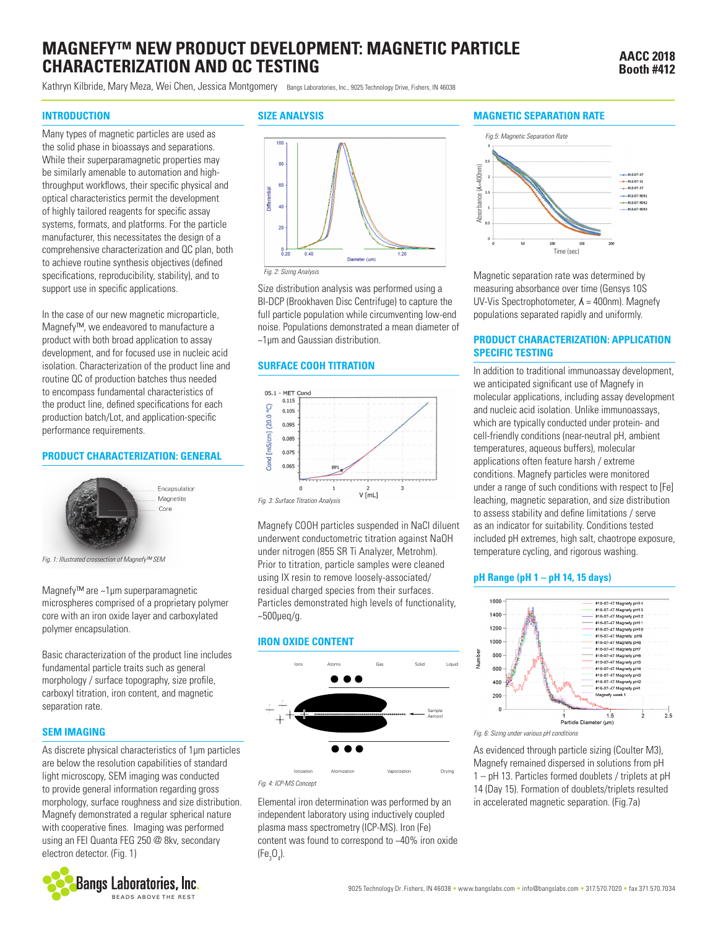# **MAGNEFY™ NEW PRODUCT DEVELOPMENT: MAGNETIC PARTICLE CHARACTERIZATION AND QC TESTING**

**AACC 2018 Booth #412**

Kathryn Kilbride, Mary Meza, Wei Chen, Jessica Montgomery Bangs Laboratories, Inc., 9025 Technology Drive, Fishers, IN 46038

#### **INTRODUCTION**

Many types of magnetic particles are used as the solid phase in bioassays and separations. While their superparamagnetic properties may be similarly amenable to automation and highthroughput workflows, their specific physical and optical characteristics permit the development of highly tailored reagents for specific assay systems, formats, and platforms. For the particle manufacturer, this necessitates the design of a comprehensive characterization and QC plan, both to achieve routine synthesis objectives (defined specifications, reproducibility, stability), and to support use in specific applications.

In the case of our new magnetic microparticle, Magnefy™, we endeavored to manufacture a product with both broad application to assay development, and for focused use in nucleic acid isolation. Characterization of the product line and routine QC of production batches thus needed to encompass fundamental characteristics of the product line, defined specifications for each production batch/Lot, and application-specific performance requirements.

#### **PRODUCT CHARACTERIZATION: GENERAL**



*Fig. 1: Illustrated crossection of Magnefy™ SEM*

Magnefy™ are ~1µm superparamagnetic microspheres comprised of a proprietary polymer core with an iron oxide layer and carboxylated polymer encapsulation.

Basic characterization of the product line includes fundamental particle traits such as general morphology / surface topography, size profile, carboxyl titration, iron content, and magnetic separation rate.

#### **SEM IMAGING**

As discrete physical characteristics of 1µm particles are below the resolution capabilities of standard light microscopy, SEM imaging was conducted to provide general information regarding gross morphology, surface roughness and size distribution. Magnefy demonstrated a regular spherical nature with cooperative fines. Imaging was performed using an FEI Quanta FEG 250 @ 8kv, secondary electron detector. (Fig. 1)



#### **SIZE ANALYSIS**



Size distribution analysis was performed using a BI-DCP (Brookhaven Disc Centrifuge) to capture the full particle population while circumventing low-end noise. Populations demonstrated a mean diameter of ~1µm and Gaussian distribution.

## **SURFACE COOH TITRATION**



Magnefy COOH particles suspended in NaCl diluent underwent conductometric titration against NaOH under nitrogen (855 SR Ti Analyzer, Metrohm). Prior to titration, particle samples were cleaned using IX resin to remove loosely-associated/ residual charged species from their surfaces. Particles demonstrated high levels of functionality,  $~500$ µeq/q.

#### **IRON OXIDE CONTENT**



*Fig. 4: ICP-MS Concept*

Elemental iron determination was performed by an independent laboratory using inductively coupled plasma mass spectrometry (ICP-MS). Iron (Fe) content was found to correspond to ~40% iron oxide  $(Fe_{3}O_{4})$ .

# **MAGNETIC SEPARATION RATE**



Magnetic separation rate was determined by measuring absorbance over time (Gensys 10S UV-Vis Spectrophotometer,  $\Lambda$  = 400nm). Magnefy populations separated rapidly and uniformly.

## **PRODUCT CHARACTERIZATION: APPLICATION SPECIFIC TESTING**

In addition to traditional immunoassay development, we anticipated significant use of Magnefy in molecular applications, including assay development and nucleic acid isolation. Unlike immunoassays, which are typically conducted under protein- and cell-friendly conditions (near-neutral pH, ambient temperatures, aqueous buffers), molecular applications often feature harsh / extreme conditions. Magnefy particles were monitored under a range of such conditions with respect to [Fe] leaching, magnetic separation, and size distribution to assess stability and define limitations / serve as an indicator for suitability. Conditions tested included pH extremes, high salt, chaotrope exposure, temperature cycling, and rigorous washing.

#### **pH Range (pH 1 – pH 14, 15 days)**



*Fig. 6: Sizing under various pH conditions*

As evidenced through particle sizing (Coulter M3), Magnefy remained dispersed in solutions from pH 1 – pH 13. Particles formed doublets / triplets at pH 14 (Day 15). Formation of doublets/triplets resulted in accelerated magnetic separation. (Fig.7a)

9025 Technology Dr. Fishers, IN 46038 • www.bangslabs.com • info@bangslabs.com • 317.570.7020 • fax 371.570.7034